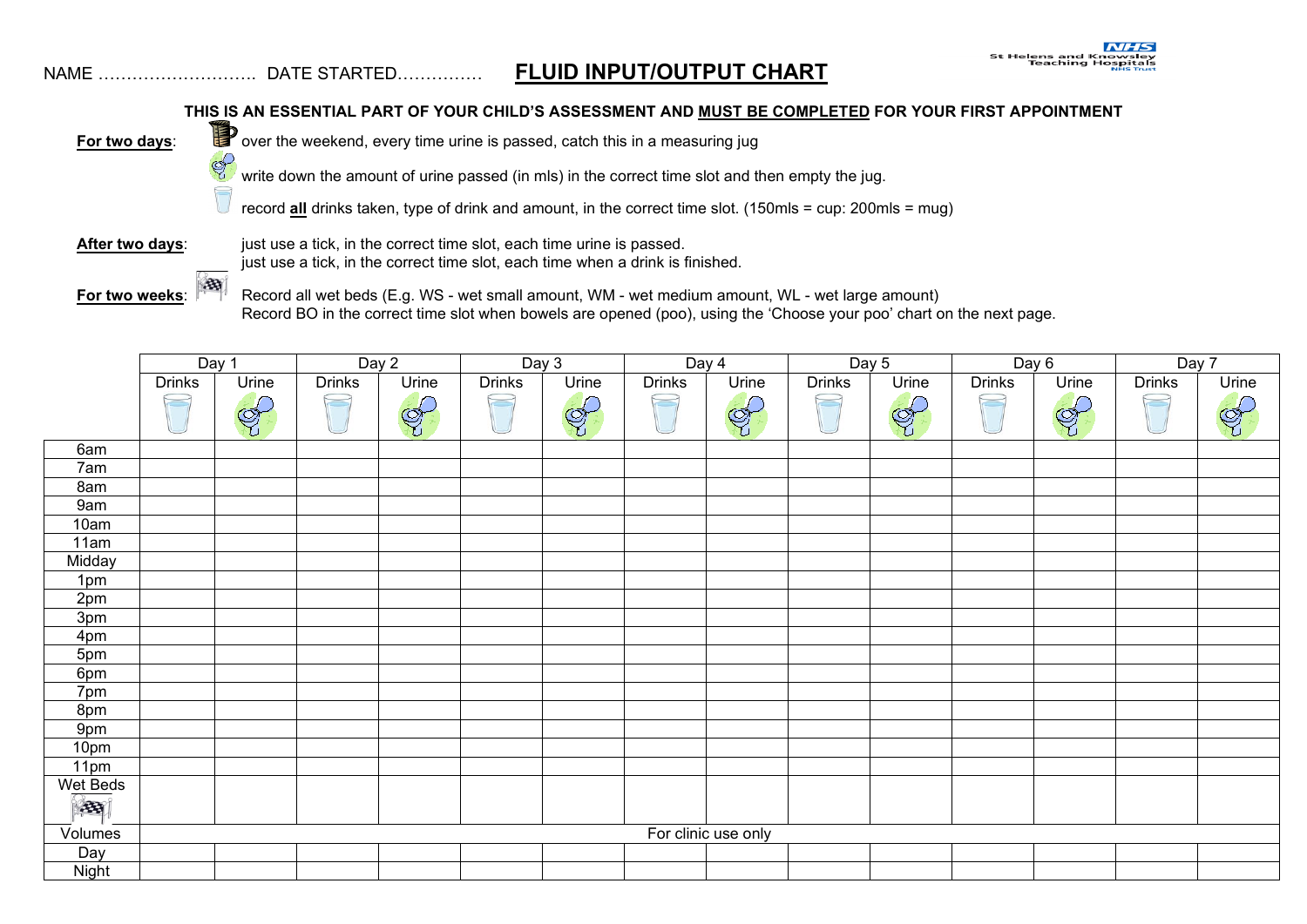## NAME ………………………. DATE STARTED…………… **FLUID INPUT/OUTPUT CHART**

## **THIS IS AN ESSENTIAL PART OF YOUR CHILD'S ASSESSMENT AND MUST BE COMPLETED FOR YOUR FIRST APPOINTMENT**



**For two days**: over the weekend, every time urine is passed, catch this in a measuring jug<br>write down the amount of urine passed (in mls) in the correct time slot and the

write down the amount of urine passed (in mls) in the correct time slot and then empty the jug.

record **all** drinks taken, type of drink and amount, in the correct time slot. (150mls = cup: 200mls = mug)

S

After two days: just use a tick, in the correct time slot, each time urine is passed. just use a tick, in the correct time slot, each time when a drink is finished.

**For two weeks:** Record all wet beds (E.g. WS - wet small amount, WM - wet medium amount, WL - wet large amount) Record BO in the correct time slot when bowels are opened (poo), using the 'Choose your poo' chart on the next page.

|                          | Day 1                    |              | Day 2         |       | Day $3$       |       | Day 4         |       | Day 5         |       | Day 6         |       | Day 7                    |       |
|--------------------------|--------------------------|--------------|---------------|-------|---------------|-------|---------------|-------|---------------|-------|---------------|-------|--------------------------|-------|
|                          | <b>Drinks</b>            | Urine        | <b>Drinks</b> | Urine | <b>Drinks</b> | Urine | <b>Drinks</b> | Urine | <b>Drinks</b> | Urine | <b>Drinks</b> | Urine | <b>Drinks</b>            | Urine |
|                          | $\overline{\phantom{a}}$ | $\bigotimes$ |               | G     | $\sqrt{2}$    | E     | $\Box$        | G     | $\Box$        | EF    | $\equiv$      | E     | $\overline{\phantom{a}}$ | G     |
| 6am                      |                          |              |               |       |               |       |               |       |               |       |               |       |                          |       |
| 7am                      |                          |              |               |       |               |       |               |       |               |       |               |       |                          |       |
| 8am                      |                          |              |               |       |               |       |               |       |               |       |               |       |                          |       |
| 9am                      |                          |              |               |       |               |       |               |       |               |       |               |       |                          |       |
| 10am                     |                          |              |               |       |               |       |               |       |               |       |               |       |                          |       |
| 11am                     |                          |              |               |       |               |       |               |       |               |       |               |       |                          |       |
| Midday                   |                          |              |               |       |               |       |               |       |               |       |               |       |                          |       |
| 1pm                      |                          |              |               |       |               |       |               |       |               |       |               |       |                          |       |
| 2 <sub>pm</sub>          |                          |              |               |       |               |       |               |       |               |       |               |       |                          |       |
| 3pm                      |                          |              |               |       |               |       |               |       |               |       |               |       |                          |       |
| 4pm                      |                          |              |               |       |               |       |               |       |               |       |               |       |                          |       |
| 5pm                      |                          |              |               |       |               |       |               |       |               |       |               |       |                          |       |
| 6pm                      |                          |              |               |       |               |       |               |       |               |       |               |       |                          |       |
| 7pm                      |                          |              |               |       |               |       |               |       |               |       |               |       |                          |       |
| 8pm                      |                          |              |               |       |               |       |               |       |               |       |               |       |                          |       |
| 9pm                      |                          |              |               |       |               |       |               |       |               |       |               |       |                          |       |
| 10pm                     |                          |              |               |       |               |       |               |       |               |       |               |       |                          |       |
| 11pm                     |                          |              |               |       |               |       |               |       |               |       |               |       |                          |       |
| Wet Beds<br>$\mathbb{E}$ |                          |              |               |       |               |       |               |       |               |       |               |       |                          |       |
| Volumes                  | For clinic use only      |              |               |       |               |       |               |       |               |       |               |       |                          |       |
| Day                      |                          |              |               |       |               |       |               |       |               |       |               |       |                          |       |
| <b>Night</b>             |                          |              |               |       |               |       |               |       |               |       |               |       |                          |       |